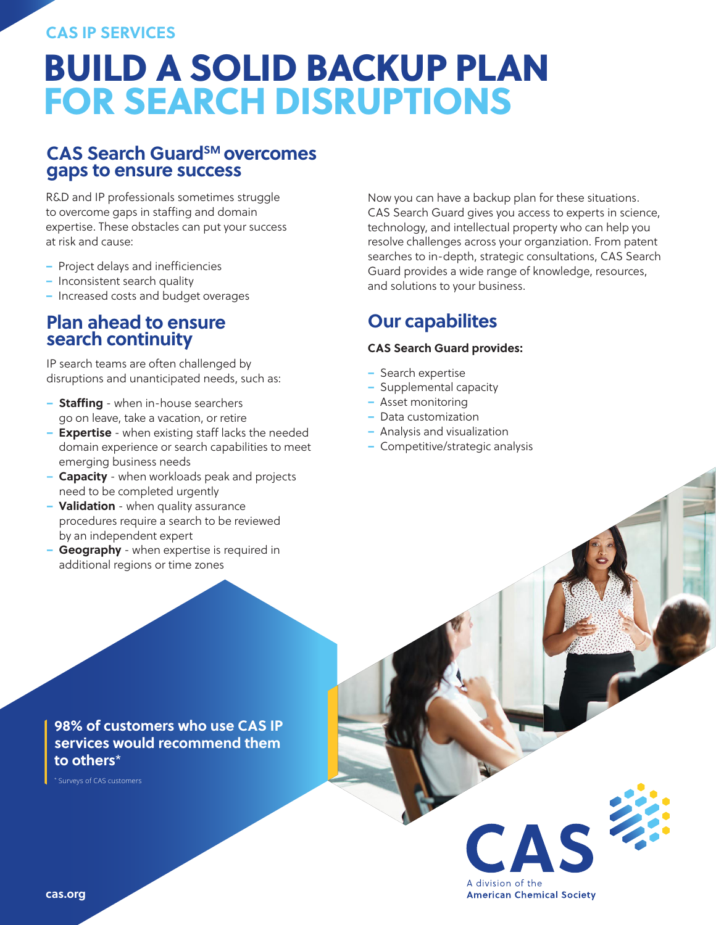### **CAS IP SERVICES**

## BUILD A SOLID BACKUP PLAN FOR SEARCH DISRUPTIONS

### **CAS Search Guard**<sup>SM</sup> overcomes **gaps to ensure success**

R&D and IP professionals sometimes struggle to overcome gaps in staffing and domain expertise. These obstacles can put your success at risk and cause:

- Project delays and inefficiencies
- Inconsistent search quality
- Increased costs and budget overages

## **Plan ahead to ensure search continuity**

IP search teams are often challenged by disruptions and unanticipated needs, such as:

- **Staffing** when in-house searchers go on leave, take a vacation, or retire
- **Expertise** when existing staff lacks the needed domain experience or search capabilities to meet emerging business needs
- **– Capacity** when workloads peak and projects need to be completed urgently
- **Validation** when quality assurance procedures require a search to be reviewed by an independent expert
- **Geography** when expertise is required in additional regions or time zones

Now you can have a backup plan for these situations. CAS Search Guard gives you access to experts in science, technology, and intellectual property who can help you resolve challenges across your organziation. From patent searches to in-depth, strategic consultations, CAS Search Guard provides a wide range of knowledge, resources, and solutions to your business.

## **Our capabilites**

#### **CAS Search Guard provides:**

- Search expertise
- Supplemental capacity
- Asset monitoring
- Data customization
- Analysis and visualization
- Competitive/strategic analysis

### **98% of customers who use CAS IP services would recommend them to others**\*

\* Surveys of CAS customers



**cas.org**